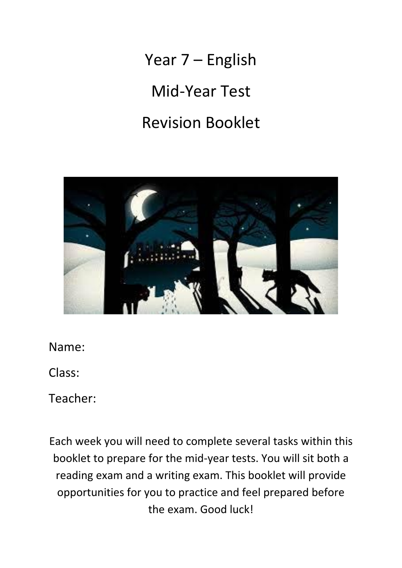Year 7 – English Mid-Year Test Revision Booklet



Name:

Class:

Teacher:

Each week you will need to complete several tasks within this booklet to prepare for the mid-year tests. You will sit both a reading exam and a writing exam. This booklet will provide opportunities for you to practice and feel prepared before the exam. Good luck!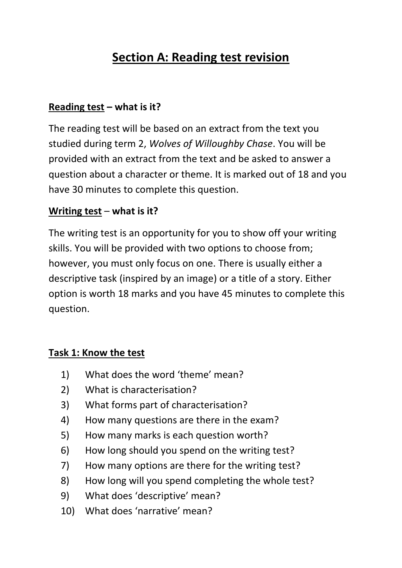# **Section A: Reading test revision**

#### **Reading test – what is it?**

The reading test will be based on an extract from the text you studied during term 2, *Wolves of Willoughby Chase*. You will be provided with an extract from the text and be asked to answer a question about a character or theme. It is marked out of 18 and you have 30 minutes to complete this question.

#### **Writing test** – **what is it?**

The writing test is an opportunity for you to show off your writing skills. You will be provided with two options to choose from; however, you must only focus on one. There is usually either a descriptive task (inspired by an image) or a title of a story. Either option is worth 18 marks and you have 45 minutes to complete this question.

#### **Task 1: Know the test**

- 1) What does the word 'theme' mean?
- 2) What is characterisation?
- 3) What forms part of characterisation?
- 4) How many questions are there in the exam?
- 5) How many marks is each question worth?
- 6) How long should you spend on the writing test?
- 7) How many options are there for the writing test?
- 8) How long will you spend completing the whole test?
- 9) What does 'descriptive' mean?
- 10) What does 'narrative' mean?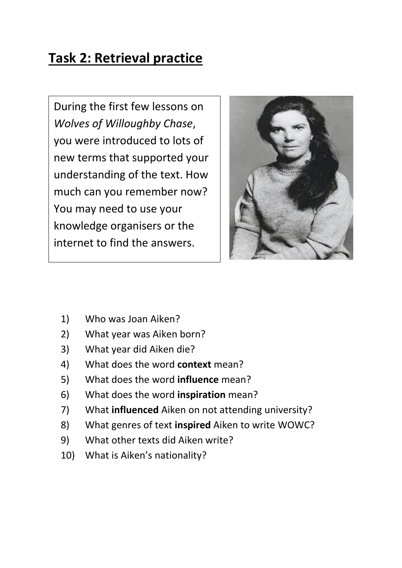# **Task 2: Retrieval practice**

During the first few lessons on *Wolves of Willoughby Chase*, you were introduced to lots of new terms that supported your understanding of the text. How much can you remember now? You may need to use your knowledge organisers or the internet to find the answers.



- 1) Who was Joan Aiken?
- 2) What year was Aiken born?
- 3) What year did Aiken die?
- 4) What does the word **context** mean?
- 5) What does the word **influence** mean?
- 6) What does the word **inspiration** mean?
- 7) What **influenced** Aiken on not attending university?
- 8) What genres of text **inspired** Aiken to write WOWC?
- 9) What other texts did Aiken write?
- 10) What is Aiken's nationality?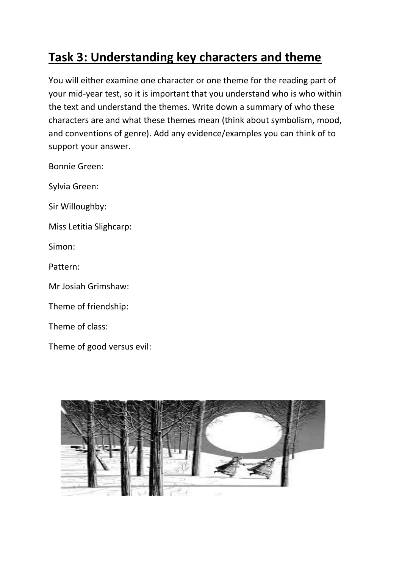# **Task 3: Understanding key characters and theme**

You will either examine one character or one theme for the reading part of your mid-year test, so it is important that you understand who is who within the text and understand the themes. Write down a summary of who these characters are and what these themes mean (think about symbolism, mood, and conventions of genre). Add any evidence/examples you can think of to support your answer.

Bonnie Green:

Sylvia Green:

Sir Willoughby:

Miss Letitia Slighcarp:

Simon:

Pattern:

Mr Josiah Grimshaw:

Theme of friendship:

Theme of class:

Theme of good versus evil:

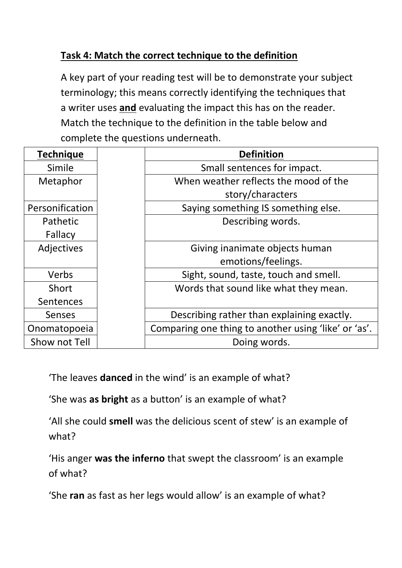## **Task 4: Match the correct technique to the definition**

A key part of your reading test will be to demonstrate your subject terminology; this means correctly identifying the techniques that a writer uses **and** evaluating the impact this has on the reader. Match the technique to the definition in the table below and complete the questions underneath.

| <b>Technique</b> | <b>Definition</b>                                    |
|------------------|------------------------------------------------------|
| Simile           | Small sentences for impact.                          |
| Metaphor         | When weather reflects the mood of the                |
|                  | story/characters                                     |
| Personification  | Saying something IS something else.                  |
| Pathetic         | Describing words.                                    |
| Fallacy          |                                                      |
| Adjectives       | Giving inanimate objects human                       |
|                  | emotions/feelings.                                   |
| Verbs            | Sight, sound, taste, touch and smell.                |
| Short            | Words that sound like what they mean.                |
| Sentences        |                                                      |
| <b>Senses</b>    | Describing rather than explaining exactly.           |
| Onomatopoeia     | Comparing one thing to another using 'like' or 'as'. |
| Show not Tell    | Doing words.                                         |

'The leaves **danced** in the wind' is an example of what?

'She was **as bright** as a button' is an example of what?

'All she could **smell** was the delicious scent of stew' is an example of what?

'His anger **was the inferno** that swept the classroom' is an example of what?

'She **ran** as fast as her legs would allow' is an example of what?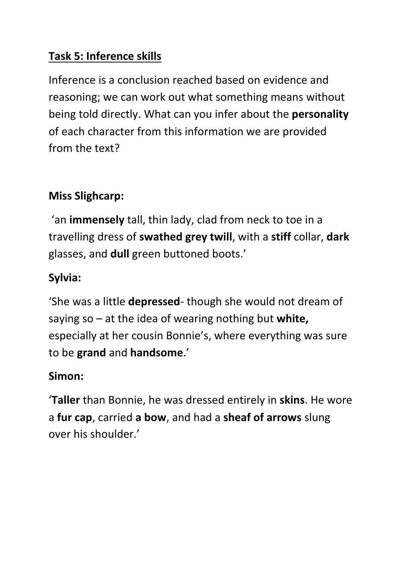# **Task 5: Inference skills**

Inference is a conclusion reached based on evidence and reasoning; we can work out what something means without being told directly. What can you infer about the **personality** of each character from this information we are provided from the text?

# **Miss Slighcarp:**

'an **immensely** tall, thin lady, clad from neck to toe in a travelling dress of **swathed grey twill**, with a **stiff** collar, **dark** glasses, and **dull** green buttoned boots.'

# **Sylvia:**

'She was a little **depressed**- though she would not dream of saying so – at the idea of wearing nothing but **white,** especially at her cousin Bonnie's, where everything was sure to be **grand** and **handsome**.'

# **Simon:**

'**Taller** than Bonnie, he was dressed entirely in **skins**. He wore a **fur cap**, carried **a bow**, and had a **sheaf of arrows** slung over his shoulder.'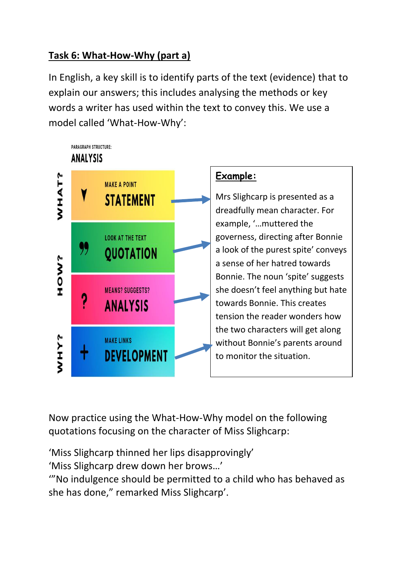# **Task 6: What-How-Why (part a)**

In English, a key skill is to identify parts of the text (evidence) that to explain our answers; this includes analysing the methods or key words a writer has used within the text to convey this. We use a model called 'What-How-Why':



Now practice using the What-How-Why model on the following quotations focusing on the character of Miss Slighcarp:

'Miss Slighcarp thinned her lips disapprovingly'

'Miss Slighcarp drew down her brows…'

'"No indulgence should be permitted to a child who has behaved as she has done," remarked Miss Slighcarp'.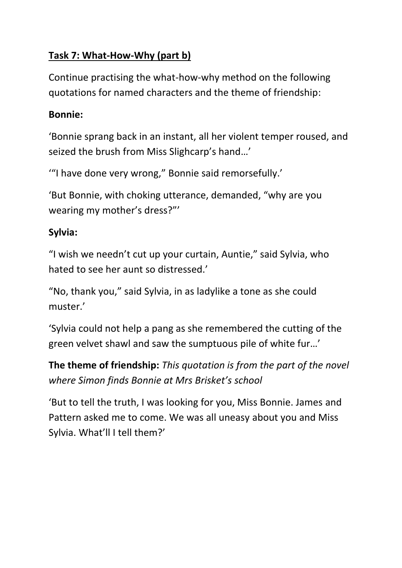## **Task 7: What-How-Why (part b)**

Continue practising the what-how-why method on the following quotations for named characters and the theme of friendship:

#### **Bonnie:**

'Bonnie sprang back in an instant, all her violent temper roused, and seized the brush from Miss Slighcarp's hand…'

'"I have done very wrong," Bonnie said remorsefully.'

'But Bonnie, with choking utterance, demanded, "why are you wearing my mother's dress?"'

# **Sylvia:**

"I wish we needn't cut up your curtain, Auntie," said Sylvia, who hated to see her aunt so distressed.'

"No, thank you," said Sylvia, in as ladylike a tone as she could muster.'

'Sylvia could not help a pang as she remembered the cutting of the green velvet shawl and saw the sumptuous pile of white fur…'

**The theme of friendship:** *This quotation is from the part of the novel where Simon finds Bonnie at Mrs Brisket's school*

'But to tell the truth, I was looking for you, Miss Bonnie. James and Pattern asked me to come. We was all uneasy about you and Miss Sylvia. What'll I tell them?'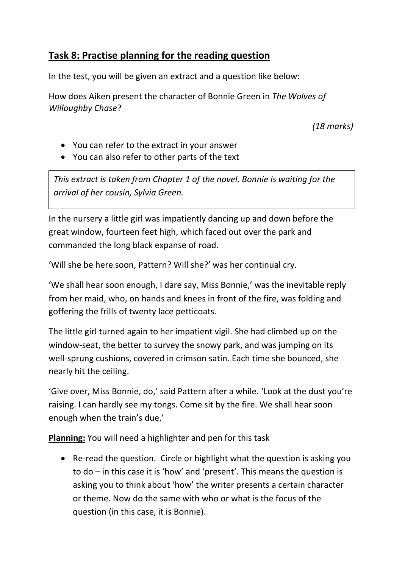#### **Task 8: Practise planning for the reading question**

In the test, you will be given an extract and a question like below:

How does Aiken present the character of Bonnie Green in *The Wolves of Willoughby Chase*?

*(18 marks)*

- You can refer to the extract in your answer
- You can also refer to other parts of the text

*This extract is taken from Chapter 1 of the novel. Bonnie is waiting for the arrival of her cousin, Sylvia Green.*

In the nursery a little girl was impatiently dancing up and down before the great window, fourteen feet high, which faced out over the park and commanded the long black expanse of road.

'Will she be here soon, Pattern? Will she?' was her continual cry.

'We shall hear soon enough, I dare say, Miss Bonnie,' was the inevitable reply from her maid, who, on hands and knees in front of the fire, was folding and goffering the frills of twenty lace petticoats.

The little girl turned again to her impatient vigil. She had climbed up on the window-seat, the better to survey the snowy park, and was jumping on its well-sprung cushions, covered in crimson satin. Each time she bounced, she nearly hit the ceiling.

'Give over, Miss Bonnie, do,' said Pattern after a while. 'Look at the dust you're raising. I can hardly see my tongs. Come sit by the fire. We shall hear soon enough when the train's due.'

**Planning:** You will need a highlighter and pen for this task

• Re-read the question. Circle or highlight what the question is asking you to do – in this case it is 'how' and 'present'. This means the question is asking you to think about 'how' the writer presents a certain character or theme. Now do the same with who or what is the focus of the question (in this case, it is Bonnie).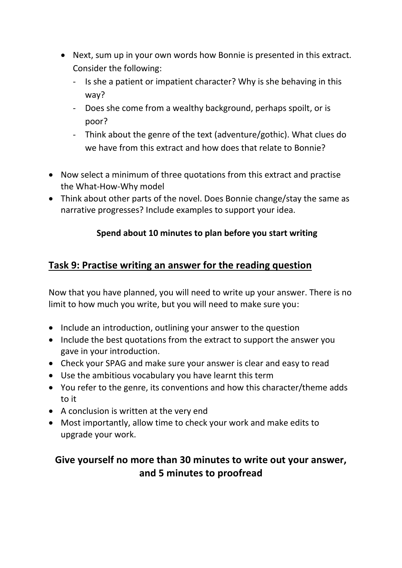- Next, sum up in your own words how Bonnie is presented in this extract. Consider the following:
	- Is she a patient or impatient character? Why is she behaving in this way?
	- Does she come from a wealthy background, perhaps spoilt, or is poor?
	- Think about the genre of the text (adventure/gothic). What clues do we have from this extract and how does that relate to Bonnie?
- Now select a minimum of three quotations from this extract and practise the What-How-Why model
- Think about other parts of the novel. Does Bonnie change/stay the same as narrative progresses? Include examples to support your idea.

#### **Spend about 10 minutes to plan before you start writing**

#### **Task 9: Practise writing an answer for the reading question**

Now that you have planned, you will need to write up your answer. There is no limit to how much you write, but you will need to make sure you:

- Include an introduction, outlining your answer to the question
- Include the best quotations from the extract to support the answer you gave in your introduction.
- Check your SPAG and make sure your answer is clear and easy to read
- Use the ambitious vocabulary you have learnt this term
- You refer to the genre, its conventions and how this character/theme adds to it
- A conclusion is written at the very end
- Most importantly, allow time to check your work and make edits to upgrade your work.

### **Give yourself no more than 30 minutes to write out your answer, and 5 minutes to proofread**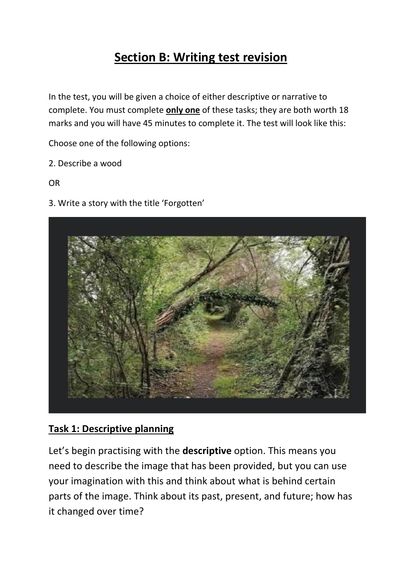# **Section B: Writing test revision**

In the test, you will be given a choice of either descriptive or narrative to complete. You must complete **only one** of these tasks; they are both worth 18 marks and you will have 45 minutes to complete it. The test will look like this:

Choose one of the following options:

2. Describe a wood

OR

3. Write a story with the title 'Forgotten'



#### **Task 1: Descriptive planning**

Let's begin practising with the **descriptive** option. This means you need to describe the image that has been provided, but you can use your imagination with this and think about what is behind certain parts of the image. Think about its past, present, and future; how has it changed over time?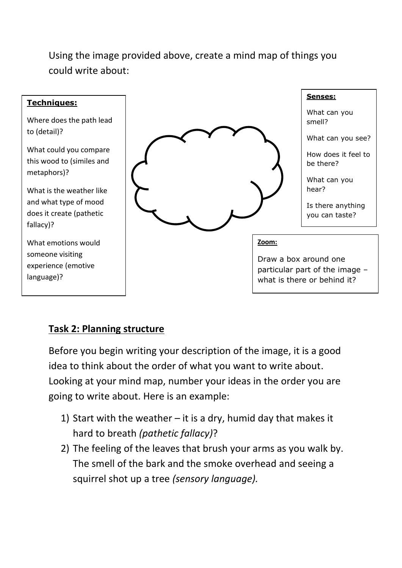Using the image provided above, create a mind map of things you could write about:



### **Task 2: Planning structure**

Before you begin writing your description of the image, it is a good idea to think about the order of what you want to write about. Looking at your mind map, number your ideas in the order you are going to write about. Here is an example:

- 1) Start with the weather  $-$  it is a dry, humid day that makes it hard to breath *(pathetic fallacy)*?
- 2) The feeling of the leaves that brush your arms as you walk by. The smell of the bark and the smoke overhead and seeing a squirrel shot up a tree *(sensory language).*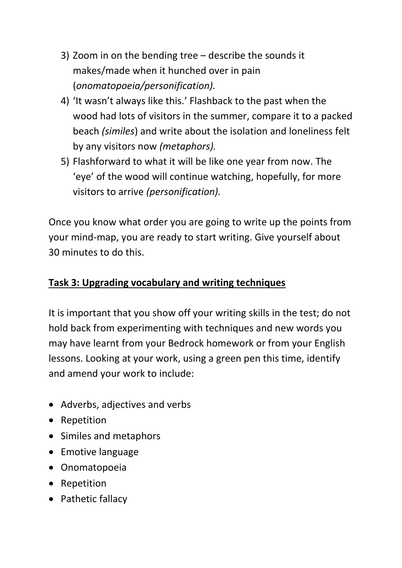- 3) Zoom in on the bending tree describe the sounds it makes/made when it hunched over in pain (*onomatopoeia/personification).*
- 4) 'It wasn't always like this.' Flashback to the past when the wood had lots of visitors in the summer, compare it to a packed beach *(similes*) and write about the isolation and loneliness felt by any visitors now *(metaphors).*
- 5) Flashforward to what it will be like one year from now. The 'eye' of the wood will continue watching, hopefully, for more visitors to arrive *(personification).*

Once you know what order you are going to write up the points from your mind-map, you are ready to start writing. Give yourself about 30 minutes to do this.

## **Task 3: Upgrading vocabulary and writing techniques**

It is important that you show off your writing skills in the test; do not hold back from experimenting with techniques and new words you may have learnt from your Bedrock homework or from your English lessons. Looking at your work, using a green pen this time, identify and amend your work to include:

- Adverbs, adjectives and verbs
- Repetition
- Similes and metaphors
- Emotive language
- Onomatopoeia
- Repetition
- Pathetic fallacy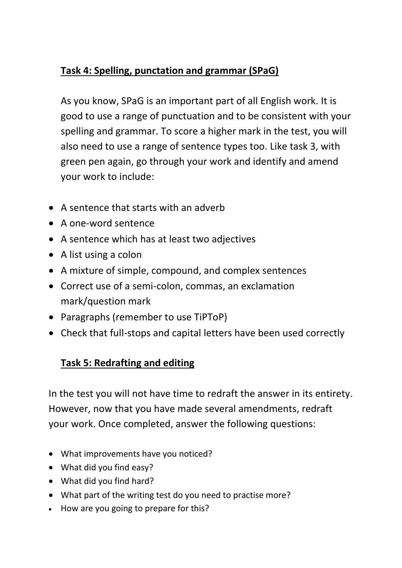## **Task 4: Spelling, punctation and grammar (SPaG)**

As you know, SPaG is an important part of all English work. It is good to use a range of punctuation and to be consistent with your spelling and grammar. To score a higher mark in the test, you will also need to use a range of sentence types too. Like task 3, with green pen again, go through your work and identify and amend your work to include:

- A sentence that starts with an adverb
- A one-word sentence
- A sentence which has at least two adjectives
- A list using a colon
- A mixture of simple, compound, and complex sentences
- Correct use of a semi-colon, commas, an exclamation mark/question mark
- Paragraphs (remember to use TiPToP)
- Check that full-stops and capital letters have been used correctly

# **Task 5: Redrafting and editing**

In the test you will not have time to redraft the answer in its entirety. However, now that you have made several amendments, redraft your work. Once completed, answer the following questions:

- What improvements have you noticed?
- What did you find easy?
- What did you find hard?
- What part of the writing test do you need to practise more?
- How are you going to prepare for this?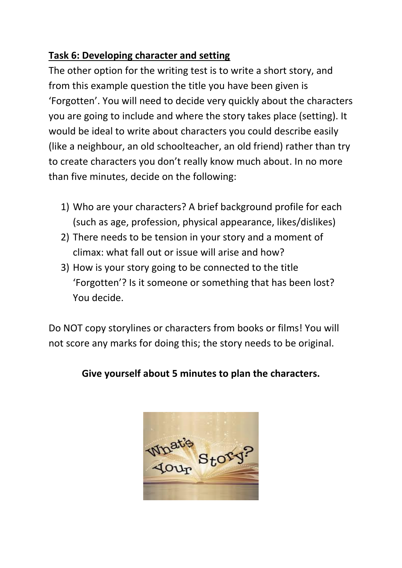## **Task 6: Developing character and setting**

The other option for the writing test is to write a short story, and from this example question the title you have been given is 'Forgotten'. You will need to decide very quickly about the characters you are going to include and where the story takes place (setting). It would be ideal to write about characters you could describe easily (like a neighbour, an old schoolteacher, an old friend) rather than try to create characters you don't really know much about. In no more than five minutes, decide on the following:

- 1) Who are your characters? A brief background profile for each (such as age, profession, physical appearance, likes/dislikes)
- 2) There needs to be tension in your story and a moment of climax: what fall out or issue will arise and how?
- 3) How is your story going to be connected to the title 'Forgotten'? Is it someone or something that has been lost? You decide.

Do NOT copy storylines or characters from books or films! You will not score any marks for doing this; the story needs to be original.

### **Give yourself about 5 minutes to plan the characters.**

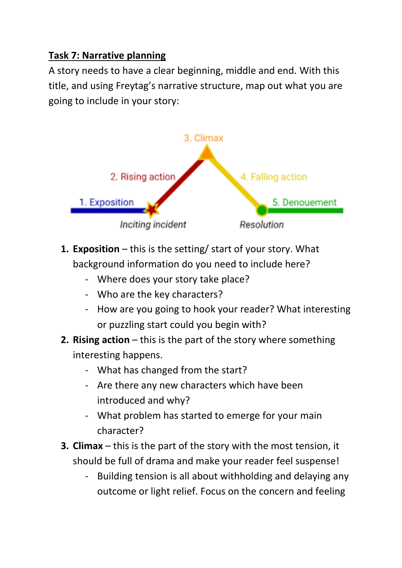### **Task 7: Narrative planning**

A story needs to have a clear beginning, middle and end. With this title, and using Freytag's narrative structure, map out what you are going to include in your story:



- **1. Exposition** this is the setting/ start of your story. What background information do you need to include here?
	- Where does your story take place?
	- Who are the key characters?
	- How are you going to hook your reader? What interesting or puzzling start could you begin with?
- **2. Rising action** this is the part of the story where something interesting happens.
	- What has changed from the start?
	- Are there any new characters which have been introduced and why?
	- What problem has started to emerge for your main character?
- **3. Climax** this is the part of the story with the most tension, it should be full of drama and make your reader feel suspense!
	- Building tension is all about withholding and delaying any outcome or light relief. Focus on the concern and feeling